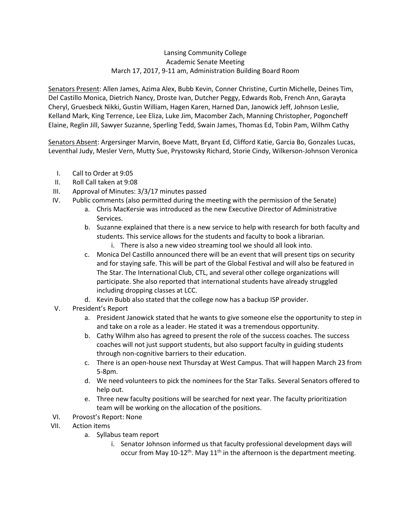# Lansing Community College Academic Senate Meeting March 17, 2017, 9-11 am, Administration Building Board Room

Senators Present: Allen James, Azima Alex, Bubb Kevin, Conner Christine, Curtin Michelle, Deines Tim, Del Castillo Monica, Dietrich Nancy, Droste Ivan, Dutcher Peggy, Edwards Rob, French Ann, Garayta Cheryl, Gruesbeck Nikki, Gustin William, Hagen Karen, Harned Dan, Janowick Jeff, Johnson Leslie, Kelland Mark, King Terrence, Lee Eliza, Luke Jim, Macomber Zach, Manning Christopher, Pogoncheff Elaine, Reglin Jill, Sawyer Suzanne, Sperling Tedd, Swain James, Thomas Ed, Tobin Pam, Wilhm Cathy

Senators Absent: Argersinger Marvin, Boeve Matt, Bryant Ed, Clifford Katie, Garcia Bo, Gonzales Lucas, Leventhal Judy, Mesler Vern, Mutty Sue, Prystowsky Richard, Storie Cindy, Wilkerson-Johnson Veronica

- I. Call to Order at 9:05
- II. Roll Call taken at 9:08
- III. Approval of Minutes: 3/3/17 minutes passed
- IV. Public comments (also permitted during the meeting with the permission of the Senate)
	- a. Chris MacKersie was introduced as the new Executive Director of Administrative Services.
		- b. Suzanne explained that there is a new service to help with research for both faculty and students. This service allows for the students and faculty to book a librarian.
			- i. There is also a new video streaming tool we should all look into.
		- c. Monica Del Castillo announced there will be an event that will present tips on security and for staying safe. This will be part of the Global Festival and will also be featured in The Star. The International Club, CTL, and several other college organizations will participate. She also reported that international students have already struggled including dropping classes at LCC.
		- d. Kevin Bubb also stated that the college now has a backup ISP provider.
- V. President's Report
	- a. President Janowick stated that he wants to give someone else the opportunity to step in and take on a role as a leader. He stated it was a tremendous opportunity.
	- b. Cathy Wilhm also has agreed to present the role of the success coaches. The success coaches will not just support students, but also support faculty in guiding students through non-cognitive barriers to their education.
	- c. There is an open-house next Thursday at West Campus. That will happen March 23 from 5-8pm.
	- d. We need volunteers to pick the nominees for the Star Talks. Several Senators offered to help out.
	- e. Three new faculty positions will be searched for next year. The faculty prioritization team will be working on the allocation of the positions.
- VI. Provost's Report: None
- VII. Action items
	- a. Syllabus team report
		- i. Senator Johnson informed us that faculty professional development days will occur from May  $10-12^{th}$ . May  $11^{th}$  in the afternoon is the department meeting.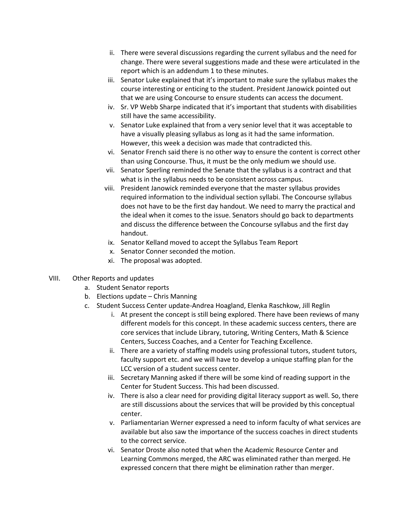- ii. There were several discussions regarding the current syllabus and the need for change. There were several suggestions made and these were articulated in the report which is an addendum 1 to these minutes.
- iii. Senator Luke explained that it's important to make sure the syllabus makes the course interesting or enticing to the student. President Janowick pointed out that we are using Concourse to ensure students can access the document.
- iv. Sr. VP Webb Sharpe indicated that it's important that students with disabilities still have the same accessibility.
- v. Senator Luke explained that from a very senior level that it was acceptable to have a visually pleasing syllabus as long as it had the same information. However, this week a decision was made that contradicted this.
- vi. Senator French said there is no other way to ensure the content is correct other than using Concourse. Thus, it must be the only medium we should use.
- vii. Senator Sperling reminded the Senate that the syllabus is a contract and that what is in the syllabus needs to be consistent across campus.
- viii. President Janowick reminded everyone that the master syllabus provides required information to the individual section syllabi. The Concourse syllabus does not have to be the first day handout. We need to marry the practical and the ideal when it comes to the issue. Senators should go back to departments and discuss the difference between the Concourse syllabus and the first day handout.
- ix. Senator Kelland moved to accept the Syllabus Team Report
- x. Senator Conner seconded the motion.
- xi. The proposal was adopted.

## VIII. Other Reports and updates

- a. Student Senator reports
- b. Elections update Chris Manning
- c. Student Success Center update-Andrea Hoagland, Elenka Raschkow, Jill Reglin
	- i. At present the concept is still being explored. There have been reviews of many different models for this concept. In these academic success centers, there are core services that include Library, tutoring, Writing Centers, Math & Science Centers, Success Coaches, and a Center for Teaching Excellence.
	- ii. There are a variety of staffing models using professional tutors, student tutors, faculty support etc. and we will have to develop a unique staffing plan for the LCC version of a student success center.
	- iii. Secretary Manning asked if there will be some kind of reading support in the Center for Student Success. This had been discussed.
	- iv. There is also a clear need for providing digital literacy support as well. So, there are still discussions about the services that will be provided by this conceptual center.
	- v. Parliamentarian Werner expressed a need to inform faculty of what services are available but also saw the importance of the success coaches in direct students to the correct service.
	- vi. Senator Droste also noted that when the Academic Resource Center and Learning Commons merged, the ARC was eliminated rather than merged. He expressed concern that there might be elimination rather than merger.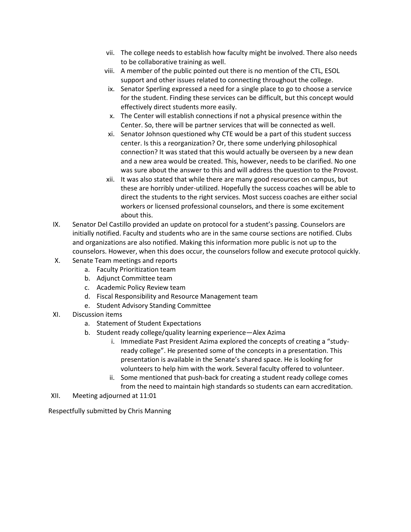- vii. The college needs to establish how faculty might be involved. There also needs to be collaborative training as well.
- viii. A member of the public pointed out there is no mention of the CTL, ESOL support and other issues related to connecting throughout the college.
- ix. Senator Sperling expressed a need for a single place to go to choose a service for the student. Finding these services can be difficult, but this concept would effectively direct students more easily.
- x. The Center will establish connections if not a physical presence within the Center. So, there will be partner services that will be connected as well.
- xi. Senator Johnson questioned why CTE would be a part of this student success center. Is this a reorganization? Or, there some underlying philosophical connection? It was stated that this would actually be overseen by a new dean and a new area would be created. This, however, needs to be clarified. No one was sure about the answer to this and will address the question to the Provost.
- xii. It was also stated that while there are many good resources on campus, but these are horribly under-utilized. Hopefully the success coaches will be able to direct the students to the right services. Most success coaches are either social workers or licensed professional counselors, and there is some excitement about this.
- IX. Senator Del Castillo provided an update on protocol for a student's passing. Counselors are initially notified. Faculty and students who are in the same course sections are notified. Clubs and organizations are also notified. Making this information more public is not up to the counselors. However, when this does occur, the counselors follow and execute protocol quickly.
- X. Senate Team meetings and reports
	- a. Faculty Prioritization team
	- b. Adjunct Committee team
	- c. Academic Policy Review team
	- d. Fiscal Responsibility and Resource Management team
	- e. Student Advisory Standing Committee
- XI. Discussion items
	- a. Statement of Student Expectations
	- b. Student ready college/quality learning experience—Alex Azima
		- i. Immediate Past President Azima explored the concepts of creating a "studyready college". He presented some of the concepts in a presentation. This presentation is available in the Senate's shared space. He is looking for volunteers to help him with the work. Several faculty offered to volunteer.
		- ii. Some mentioned that push-back for creating a student ready college comes from the need to maintain high standards so students can earn accreditation.
- XII. Meeting adjourned at 11:01

Respectfully submitted by Chris Manning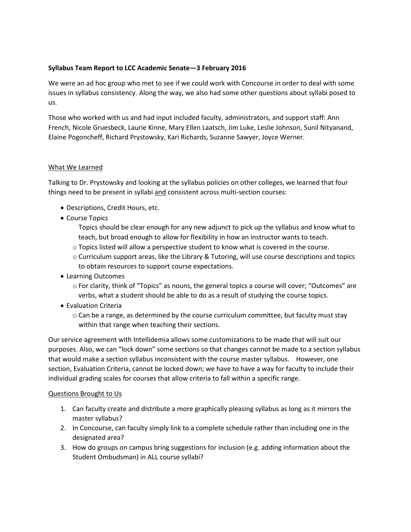# **Syllabus Team Report to LCC Academic Senate—3 February 2016**

We were an ad hoc group who met to see if we could work with Concourse in order to deal with some issues in syllabus consistency. Along the way, we also had some other questions about syllabi posed to us.

Those who worked with us and had input included faculty, administrators, and support staff: Ann French, Nicole Gruesbeck, Laurie Kinne, Mary Ellen Laatsch, Jim Luke, Leslie Johnson, Sunil Nityanand, Elaine Pogoncheff, Richard Prystowsky, Kari Richards, Suzanne Sawyer, Joyce Werner.

## What We Learned

Talking to Dr. Prystowsky and looking at the syllabus policies on other colleges, we learned that four things need to be present in syllabi and consistent across multi-section courses:

- Descriptions, Credit Hours, etc.
- Course Topics

Topics should be clear enough for any new adjunct to pick up the syllabus and know what to teach, but broad enough to allow for flexibility in how an instructor wants to teach.

- o Topics listed will allow a perspective student to know what is covered in the course.
- $\circ$  Curriculum support areas, like the Library & Tutoring, will use course descriptions and topics to obtain resources to support course expectations.
- Learning Outcomes
	- o For clarity, think of "Topics" as nouns, the general topics a course will cover; "Outcomes" are verbs, what a student should be able to do as a result of studying the course topics.
- Evaluation Criteria
	- $\circ$  Can be a range, as determined by the course curriculum committee, but faculty must stay within that range when teaching their sections.

Our service agreement with Intellidemia allows some customizations to be made that will suit our purposes. Also, we can "lock down" some sections so that changes cannot be made to a section syllabus that would make a section syllabus inconsistent with the course master syllabus. However, one section, Evaluation Criteria, cannot be locked down; we have to have a way for faculty to include their individual grading scales for courses that allow criteria to fall within a specific range.

## Questions Brought to Us

- 1. Can faculty create and distribute a more graphically pleasing syllabus as long as it mirrors the master syllabus?
- 2. In Concourse, can faculty simply link to a complete schedule rather than including one in the designated area?
- 3. How do groups on campus bring suggestions for inclusion (e.g. adding information about the Student Ombudsman) in ALL course syllabi?